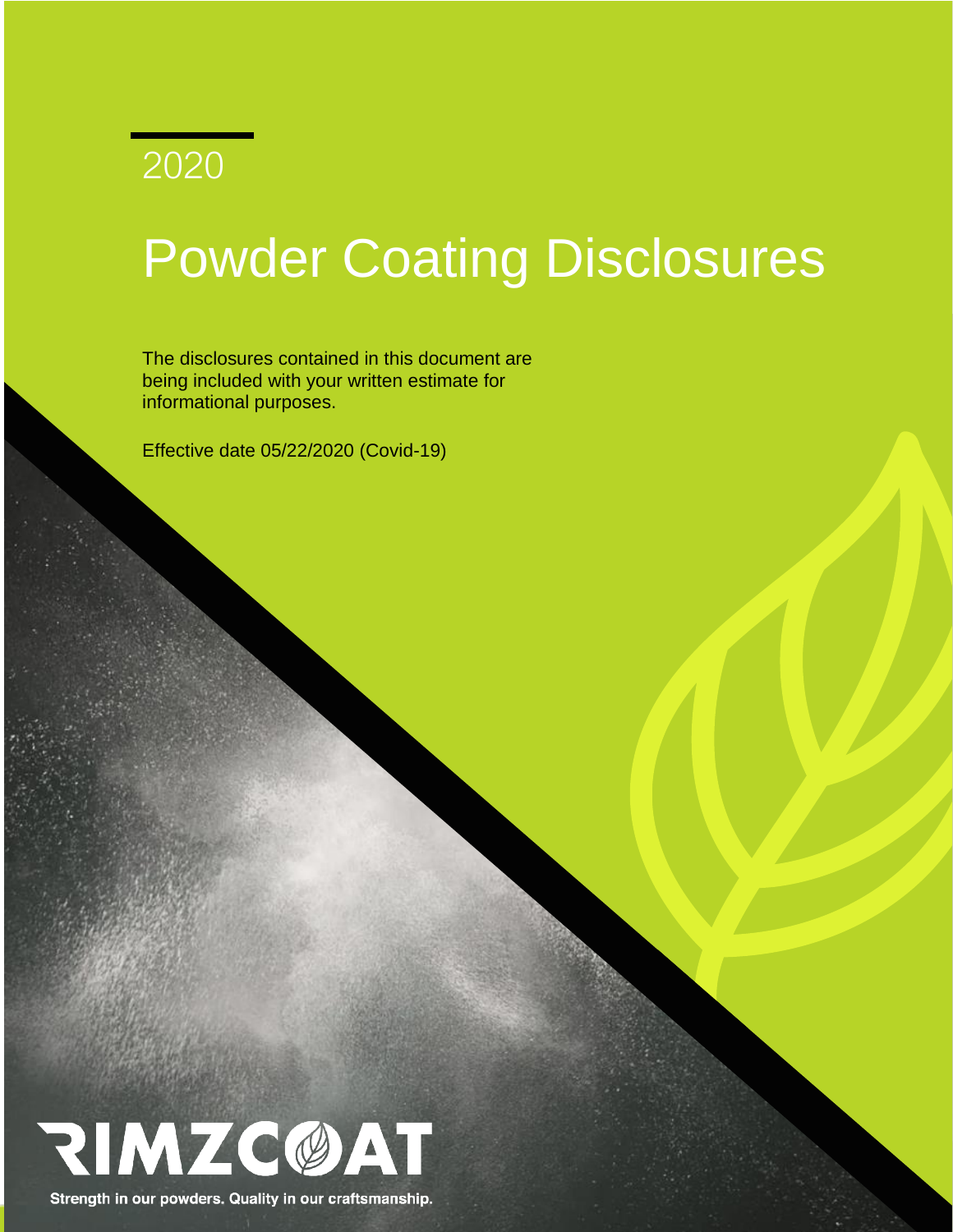

# Powder Coating Disclosures

The disclosures contained in this document are being included with your written estimate for informational purposes.

*Effective date 05/22/2020 (Covid-19)*



Strength in our powders. Quality in our craftsmanship.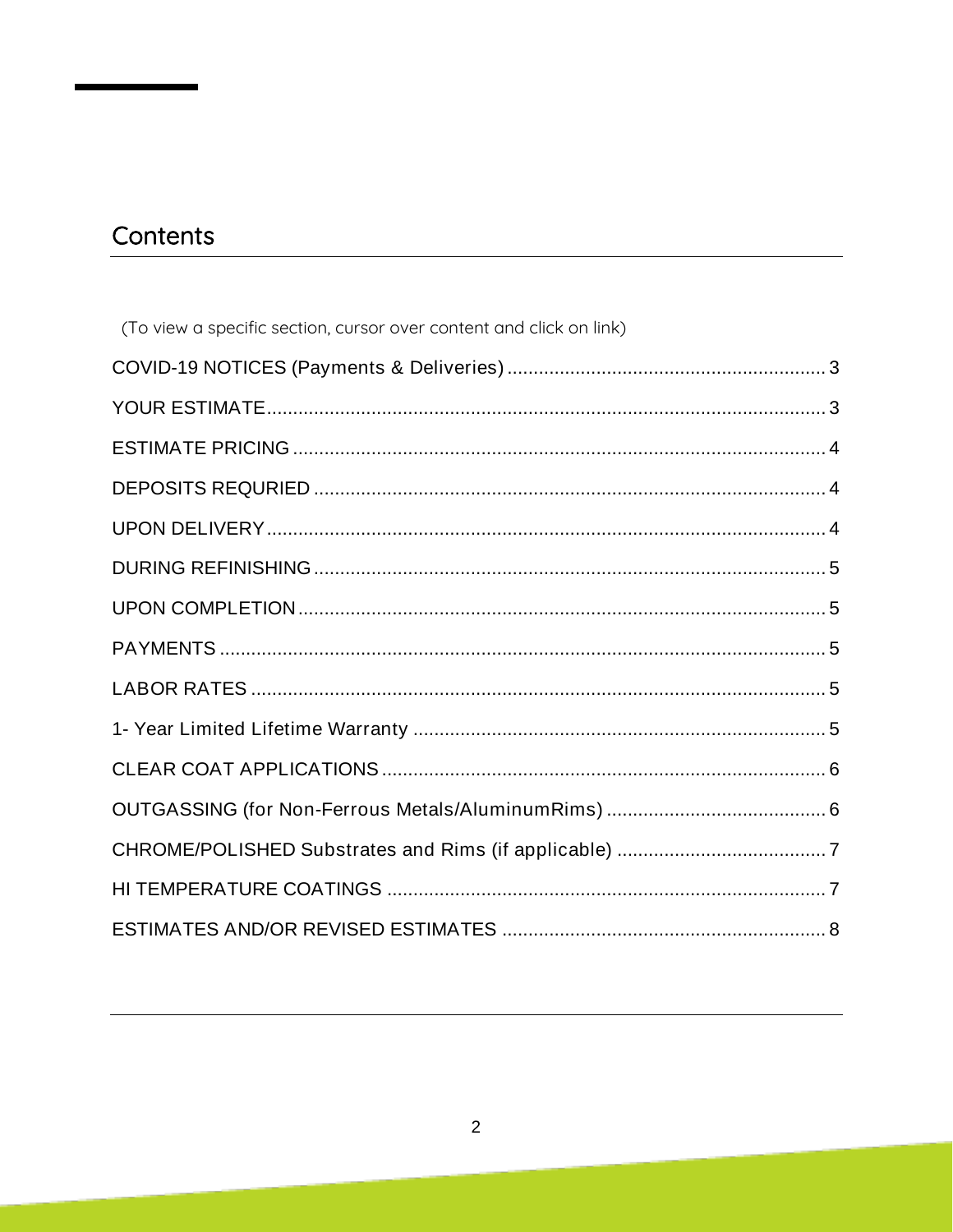## Contents

| (To view a specific section, cursor over content and click on link) |  |
|---------------------------------------------------------------------|--|
|                                                                     |  |
|                                                                     |  |
|                                                                     |  |
|                                                                     |  |
|                                                                     |  |
|                                                                     |  |
|                                                                     |  |
|                                                                     |  |
|                                                                     |  |
|                                                                     |  |
|                                                                     |  |
|                                                                     |  |
|                                                                     |  |
|                                                                     |  |
|                                                                     |  |
|                                                                     |  |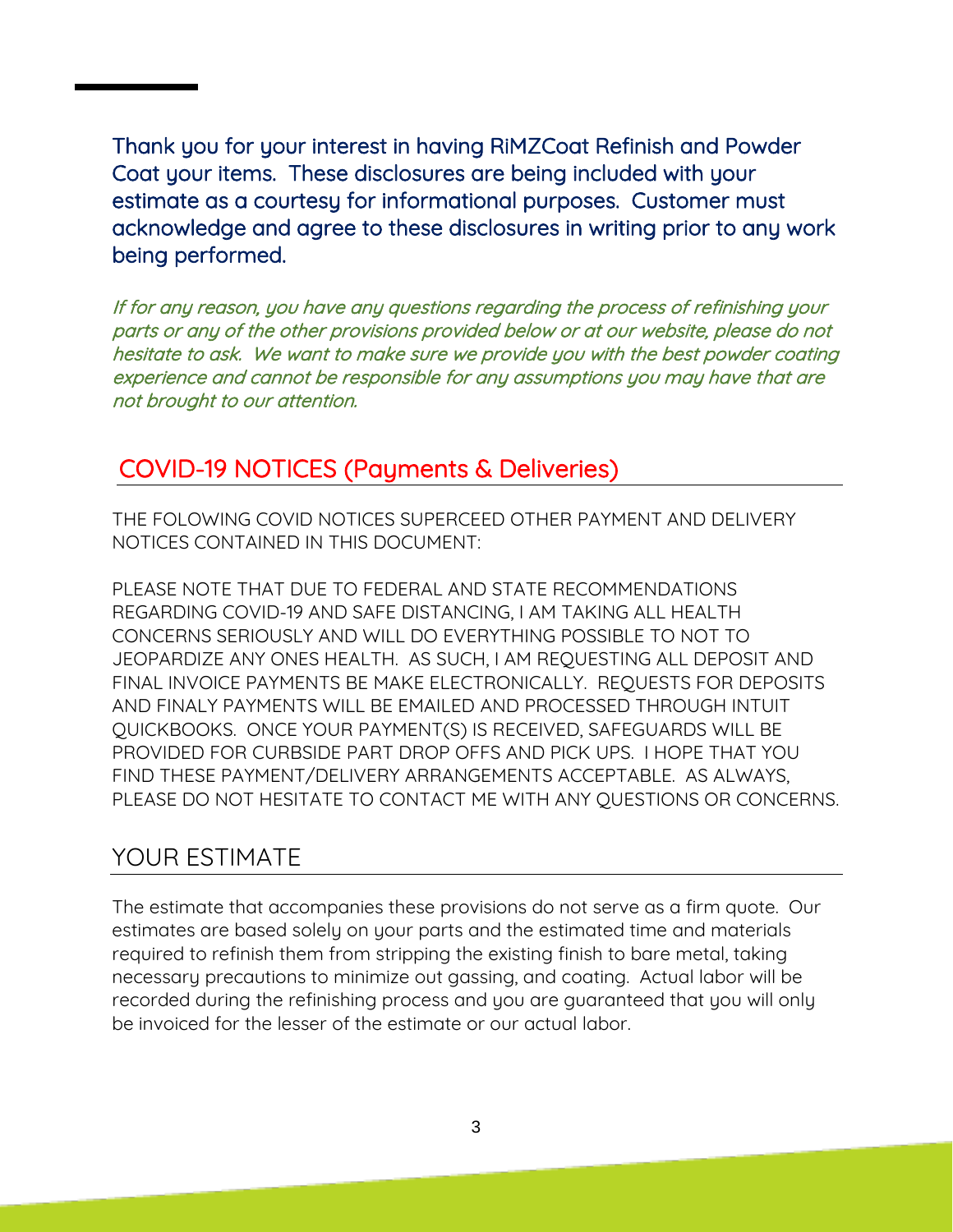Thank you for your interest in having RiMZCoat Refinish and Powder Coat your items. These disclosures are being included with your estimate as a courtesy for informational purposes. Customer must acknowledge and agree to these disclosures in writing prior to any work being performed.

If for any reason, you have any questions regarding the process of refinishing your parts or any of the other provisions provided below or at our website, please do not hesitate to ask. We want to make sure we provide you with the best powder coating experience and cannot be responsible for any assumptions you may have that are not brought to our attention.

#### <span id="page-2-0"></span>COVID-19 NOTICES (Payments & Deliveries)

THE FOLOWING COVID NOTICES SUPERCEED OTHER PAYMENT AND DELIVERY NOTICES CONTAINED IN THIS DOCUMENT:

PLEASE NOTE THAT DUE TO FEDERAL AND STATE RECOMMENDATIONS REGARDING COVID-19 AND SAFE DISTANCING, I AM TAKING ALL HEALTH CONCERNS SERIOUSLY AND WILL DO EVERYTHING POSSIBLE TO NOT TO JEOPARDIZE ANY ONES HEALTH. AS SUCH, I AM REQUESTING ALL DEPOSIT AND FINAL INVOICE PAYMENTS BE MAKE ELECTRONICALLY. REQUESTS FOR DEPOSITS AND FINALY PAYMENTS WILL BE EMAILED AND PROCESSED THROUGH INTUIT QUICKBOOKS. ONCE YOUR PAYMENT(S) IS RECEIVED, SAFEGUARDS WILL BE PROVIDED FOR CURBSIDE PART DROP OFFS AND PICK UPS. I HOPE THAT YOU FIND THESE PAYMENT/DELIVERY ARRANGEMENTS ACCEPTABLE. AS ALWAYS, PLEASE DO NOT HESITATE TO CONTACT ME WITH ANY QUESTIONS OR CONCERNS.

#### <span id="page-2-1"></span>YOUR ESTIMATE

The estimate that accompanies these provisions do not serve as a firm quote. Our estimates are based solely on your parts and the estimated time and materials required to refinish them from stripping the existing finish to bare metal, taking necessary precautions to minimize out gassing, and coating. Actual labor will be recorded during the refinishing process and you are guaranteed that you will only be invoiced for the lesser of the estimate or our actual labor.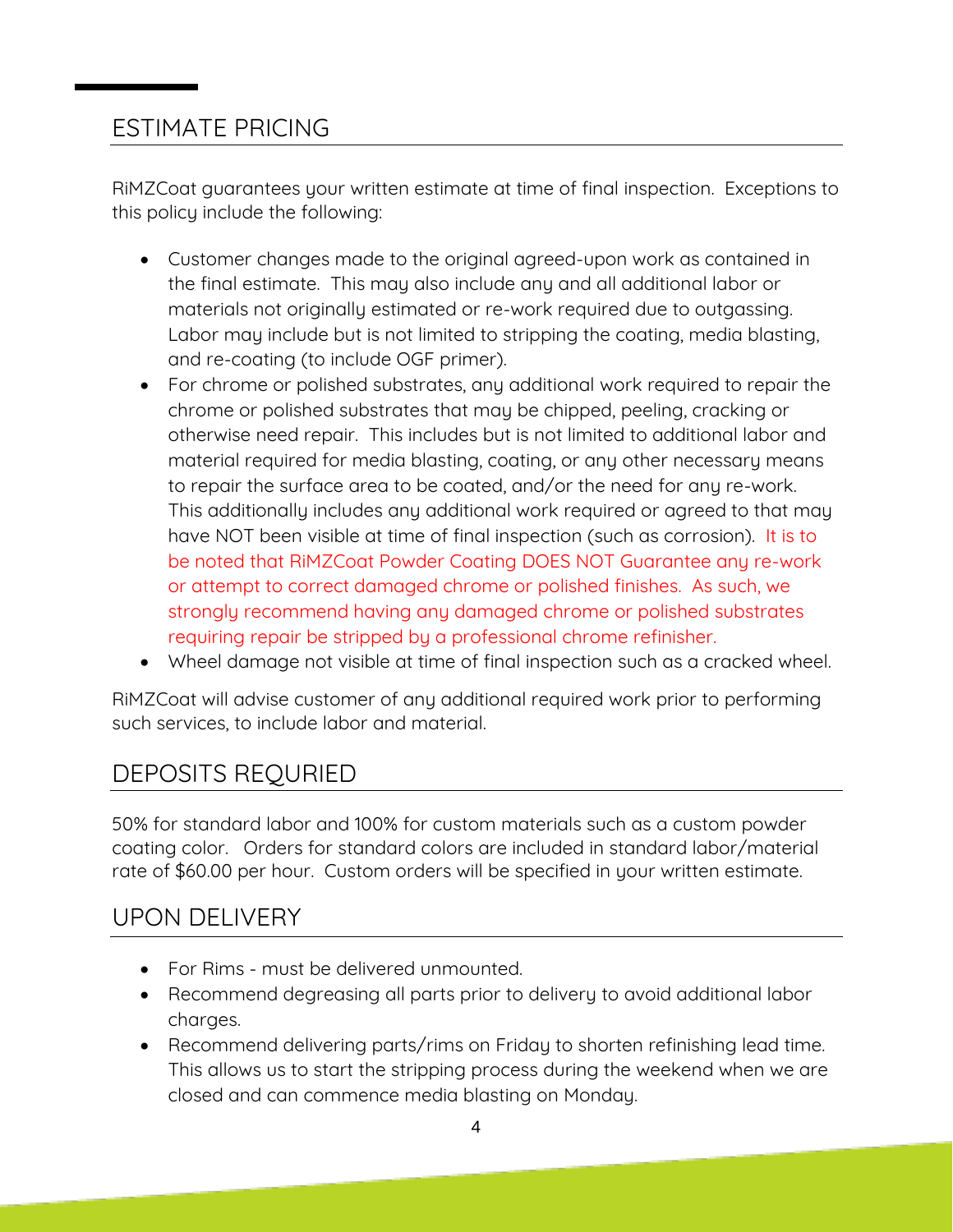## <span id="page-3-0"></span>ESTIMATE PRICING

RiMZCoat guarantees your written estimate at time of final inspection. Exceptions to this policy include the following:

- Customer changes made to the original agreed-upon work as contained in the final estimate. This may also include any and all additional labor or materials not originally estimated or re-work required due to outgassing. Labor may include but is not limited to stripping the coating, media blasting, and re-coating (to include OGF primer).
- For chrome or polished substrates, any additional work required to repair the chrome or polished substrates that may be chipped, peeling, cracking or otherwise need repair. This includes but is not limited to additional labor and material required for media blasting, coating, or any other necessary means to repair the surface area to be coated, and/or the need for any re-work. This additionally includes any additional work required or agreed to that may have NOT been visible at time of final inspection (such as corrosion). It is to be noted that RiMZCoat Powder Coating DOES NOT Guarantee any re-work or attempt to correct damaged chrome or polished finishes. As such, we strongly recommend having any damaged chrome or polished substrates requiring repair be stripped by a professional chrome refinisher.
- Wheel damage not visible at time of final inspection such as a cracked wheel.

RiMZCoat will advise customer of any additional required work prior to performing such services, to include labor and material.

## <span id="page-3-1"></span>DEPOSITS REQURIED

50% for standard labor and 100% for custom materials such as a custom powder coating color. Orders for standard colors are included in standard labor/material rate of \$60.00 per hour. Custom orders will be specified in your written estimate.

#### <span id="page-3-2"></span>UPON DELIVERY

- For Rims must be delivered unmounted.
- Recommend degreasing all parts prior to delivery to avoid additional labor charges.
- Recommend delivering parts/rims on Friday to shorten refinishing lead time. This allows us to start the stripping process during the weekend when we are closed and can commence media blasting on Monday.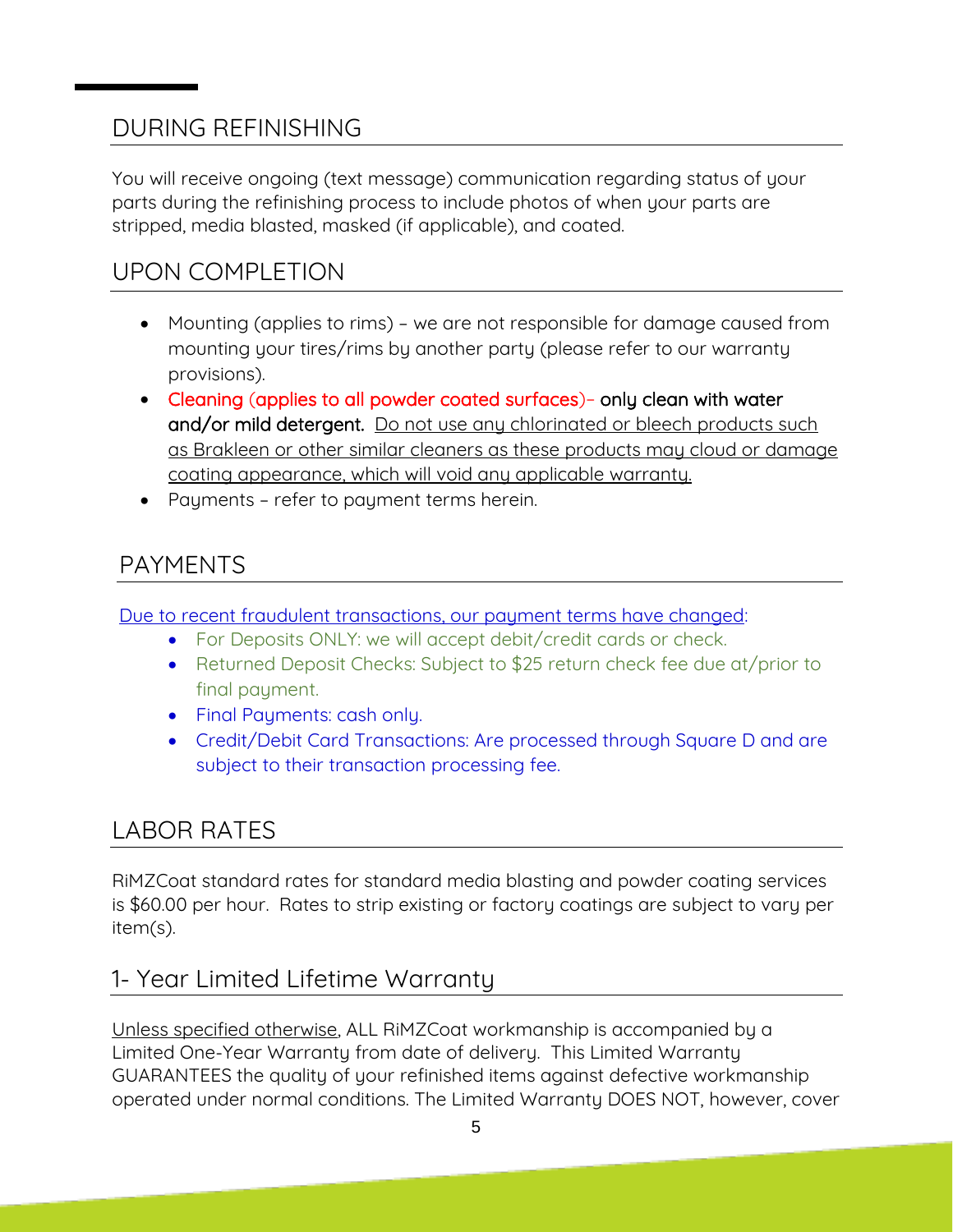## <span id="page-4-0"></span>DURING REFINISHING

You will receive ongoing (text message) communication regarding status of your parts during the refinishing process to include photos of when your parts are stripped, media blasted, masked (if applicable), and coated.

## <span id="page-4-1"></span>UPON COMPLETION

- Mounting (applies to rims) we are not responsible for damage caused from mounting your tires/rims by another party (please refer to our warranty provisions).
- Cleaning (applies to all powder coated surfaces)– only clean with water and/or mild detergent. Do not use any chlorinated or bleech products such as Brakleen or other similar cleaners as these products may cloud or damage coating appearance, which will void any applicable warranty.
- Payments refer to payment terms herein.

## <span id="page-4-2"></span>PAYMENTS

Due to recent fraudulent transactions, our payment terms have changed:

- For Deposits ONLY: we will accept debit/credit cards or check.
- Returned Deposit Checks: Subject to \$25 return check fee due at/prior to final payment.
- Final Payments: cash only.
- Credit/Debit Card Transactions: Are processed through Square D and are subject to their transaction processing fee.

## <span id="page-4-3"></span>LABOR RATES

RiMZCoat standard rates for standard media blasting and powder coating services is \$60.00 per hour. Rates to strip existing or factory coatings are subject to vary per item(s).

## <span id="page-4-4"></span>1- Year Limited Lifetime Warranty

Unless specified otherwise, ALL RiMZCoat workmanship is accompanied by a Limited One-Year Warranty from date of delivery. This Limited Warranty GUARANTEES the quality of your refinished items against defective workmanship operated under normal conditions. The Limited Warranty DOES NOT, however, cover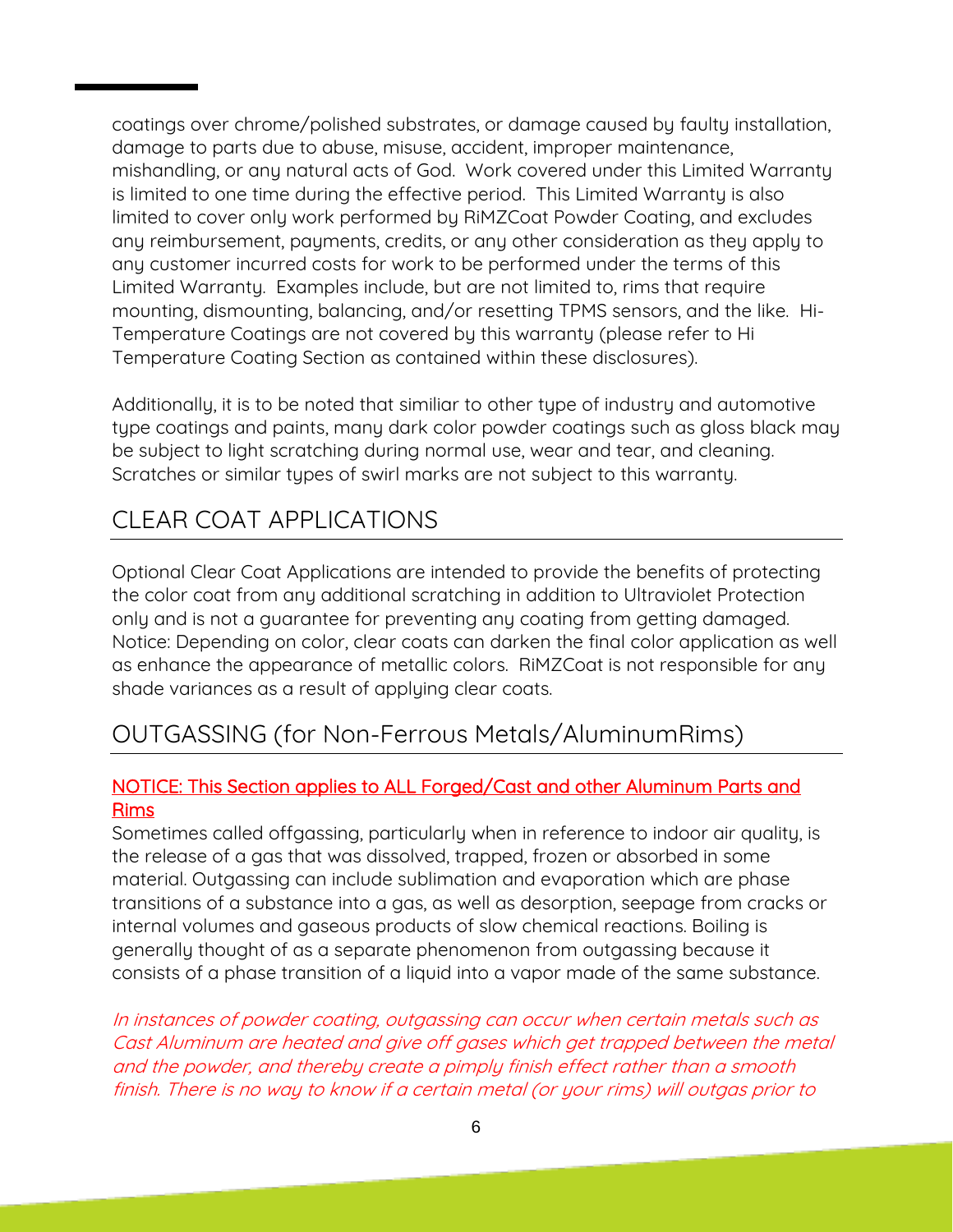coatings over chrome/polished substrates, or damage caused by faulty installation, damage to parts due to abuse, misuse, accident, improper maintenance, mishandling, or any natural acts of God. Work covered under this Limited Warranty is limited to one time during the effective period. This Limited Warranty is also limited to cover only work performed by RiMZCoat Powder Coating, and excludes any reimbursement, payments, credits, or any other consideration as they apply to any customer incurred costs for work to be performed under the terms of this Limited Warranty. Examples include, but are not limited to, rims that require mounting, dismounting, balancing, and/or resetting TPMS sensors, and the like. Hi-Temperature Coatings are not covered by this warranty (please refer to Hi Temperature Coating Section as contained within these disclosures).

Additionally, it is to be noted that similiar to other type of industry and automotive type coatings and paints, many dark color powder coatings such as gloss black may be subject to light scratching during normal use, wear and tear, and cleaning. Scratches or similar types of swirl marks are not subject to this warranty.

#### <span id="page-5-0"></span>CLEAR COAT APPLICATIONS

Optional Clear Coat Applications are intended to provide the benefits of protecting the color coat from any additional scratching in addition to Ultraviolet Protection only and is not a guarantee for preventing any coating from getting damaged. Notice: Depending on color, clear coats can darken the final color application as well as enhance the appearance of metallic colors. RiMZCoat is not responsible for any shade variances as a result of applying clear coats.

#### <span id="page-5-1"></span>OUTGASSING (for Non-Ferrous Metals/AluminumRims)

#### NOTICE: This Section applies to ALL Forged/Cast and other Aluminum Parts and Rims

Sometimes called offgassing, particularly when in reference to indoor air quality, is the release of a gas that was dissolved, trapped, frozen or absorbed in some material. Outgassing can include sublimation and evaporation which are phase transitions of a substance into a gas, as well as desorption, seepage from cracks or internal volumes and gaseous products of slow chemical reactions. Boiling is generally thought of as a separate phenomenon from outgassing because it consists of a phase transition of a liquid into a vapor made of the same substance.

In instances of powder coating, outgassing can occur when certain metals such as Cast Aluminum are heated and give off gases which get trapped between the metal and the powder, and thereby create a pimply finish effect rather than a smooth finish. There is no way to know if a certain metal (or your rims) will outgas prior to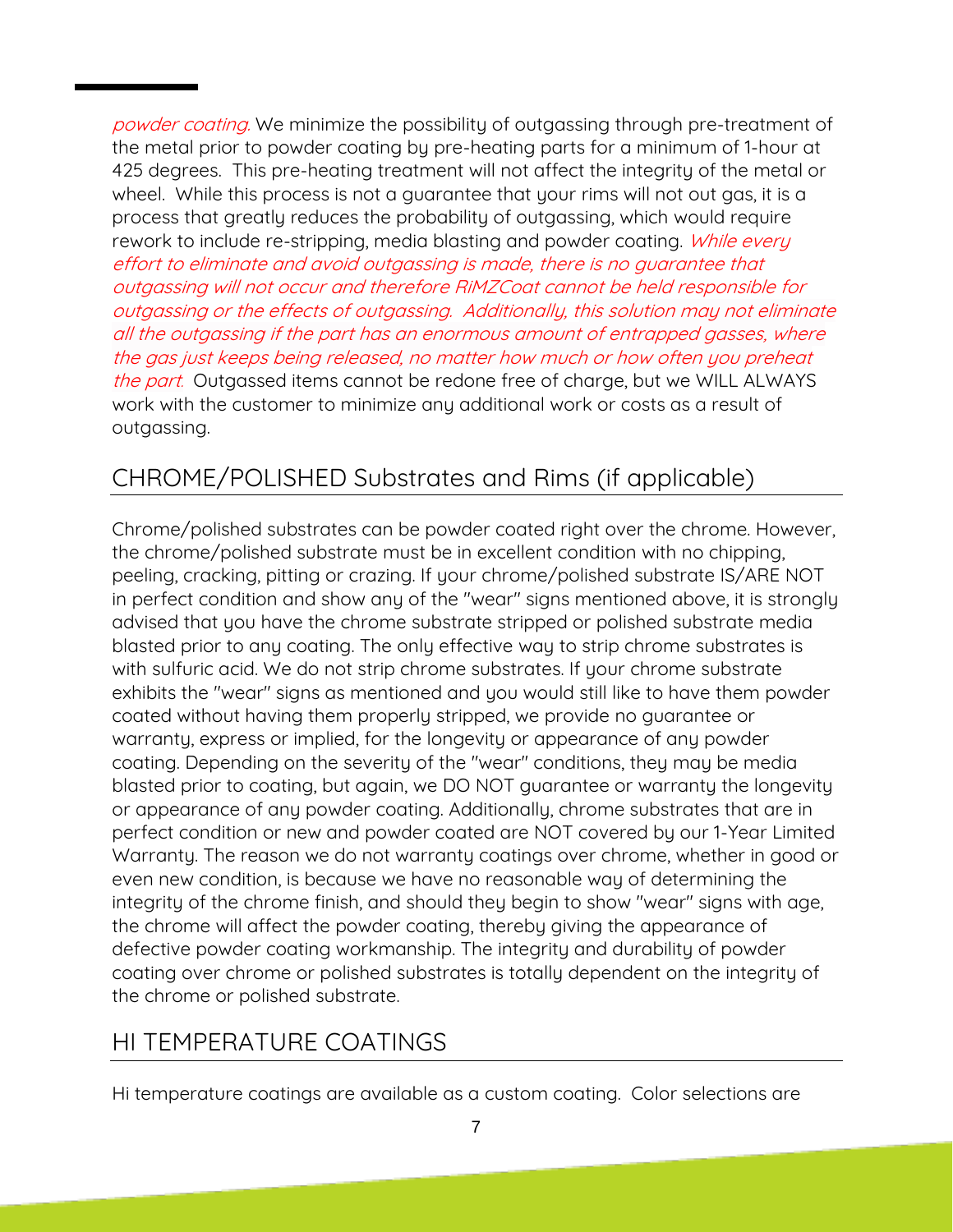powder coating. We minimize the possibility of outgassing through pre-treatment of the metal prior to powder coating by pre-heating parts for a minimum of 1-hour at 425 degrees. This pre-heating treatment will not affect the integrity of the metal or wheel. While this process is not a guarantee that your rims will not out gas, it is a process that greatly reduces the probability of outgassing, which would require rework to include re-stripping, media blasting and powder coating. While every effort to eliminate and avoid outgassing is made, there is no guarantee that outgassing will not occur and therefore RiMZCoat cannot be held responsible for outgassing or the effects of outgassing. Additionally, this solution may not eliminate all the outgassing if the part has an enormous amount of entrapped gasses, where the gas just keeps being released, no matter how much or how often you preheat the part. Outgassed items cannot be redone free of charge, but we WILL ALWAYS work with the customer to minimize any additional work or costs as a result of outgassing.

## <span id="page-6-0"></span>CHROME/POLISHED Substrates and Rims (if applicable)

Chrome/polished substrates can be powder coated right over the chrome. However, the chrome/polished substrate must be in excellent condition with no chipping, peeling, cracking, pitting or crazing. If your chrome/polished substrate IS/ARE NOT in perfect condition and show any of the "wear" signs mentioned above, it is strongly advised that you have the chrome substrate stripped or polished substrate media blasted prior to any coating. The only effective way to strip chrome substrates is with sulfuric acid. We do not strip chrome substrates. If your chrome substrate exhibits the "wear" signs as mentioned and you would still like to have them powder coated without having them properly stripped, we provide no guarantee or warranty, express or implied, for the longevity or appearance of any powder coating. Depending on the severity of the "wear" conditions, they may be media blasted prior to coating, but again, we DO NOT guarantee or warranty the longevity or appearance of any powder coating. Additionally, chrome substrates that are in perfect condition or new and powder coated are NOT covered by our 1-Year Limited Warranty. The reason we do not warranty coatings over chrome, whether in good or even new condition, is because we have no reasonable way of determining the integrity of the chrome finish, and should they begin to show "wear" signs with age, the chrome will affect the powder coating, thereby giving the appearance of defective powder coating workmanship. The integrity and durability of powder coating over chrome or polished substrates is totally dependent on the integrity of the chrome or polished substrate.

## <span id="page-6-1"></span>HI TEMPERATURE COATINGS

Hi temperature coatings are available as a custom coating. Color selections are